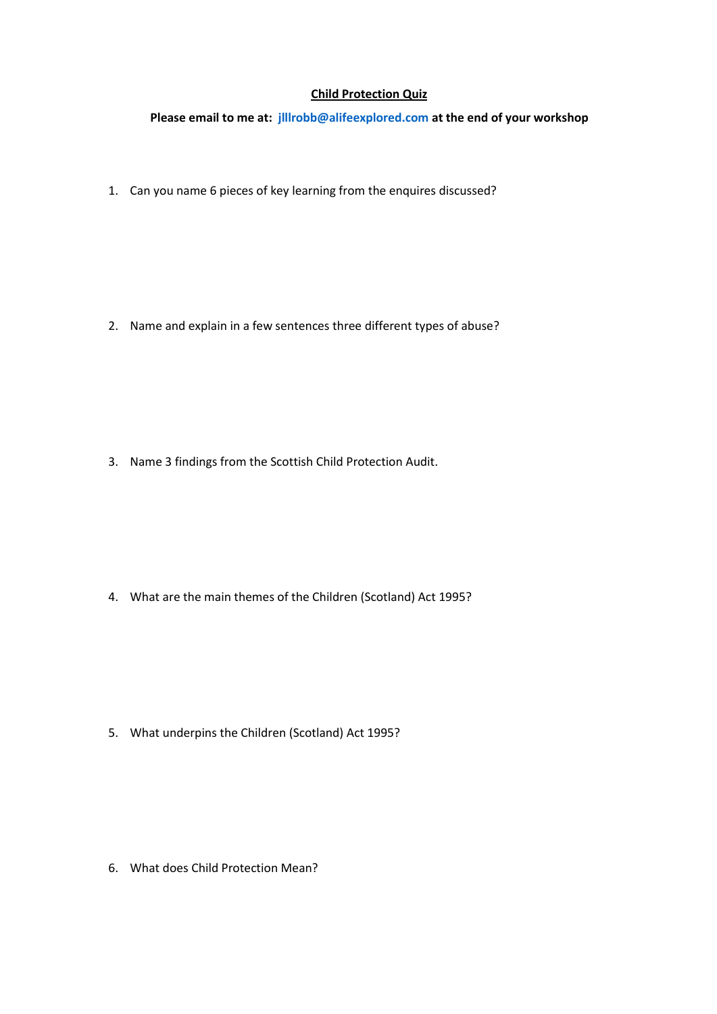## **Child Protection Quiz**

**Please email to me at: [jlllrobb@alifeexplored.com](mailto:jlllrobb@alifeexplored.com) at the end of your workshop**

1. Can you name 6 pieces of key learning from the enquires discussed?

2. Name and explain in a few sentences three different types of abuse?

3. Name 3 findings from the Scottish Child Protection Audit.

4. What are the main themes of the Children (Scotland) Act 1995?

5. What underpins the Children (Scotland) Act 1995?

6. What does Child Protection Mean?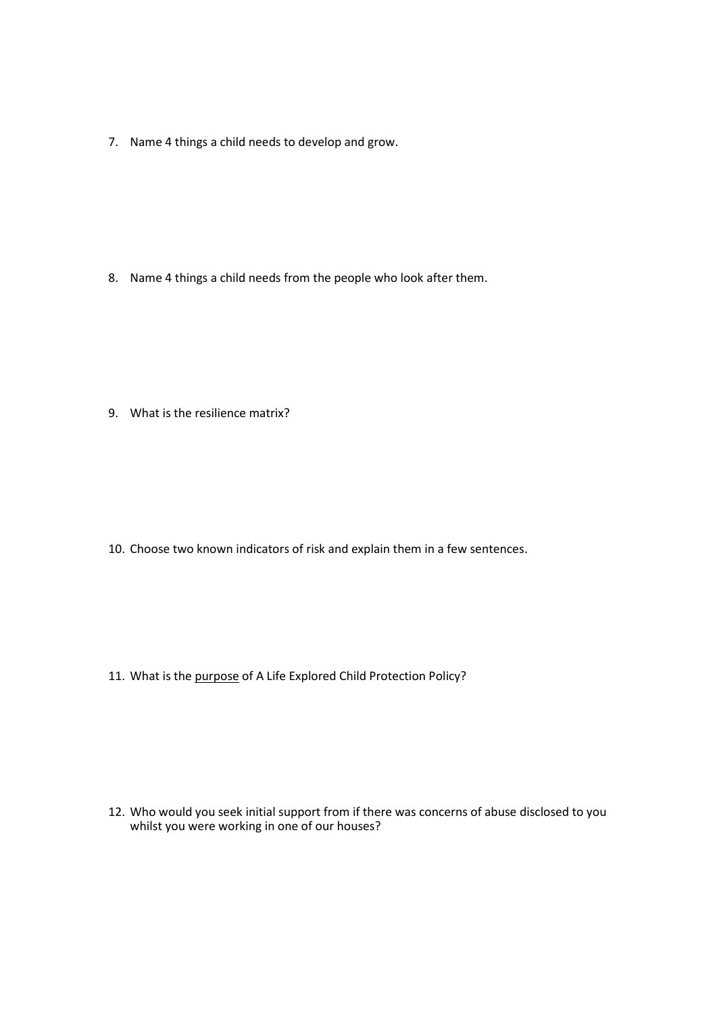7. Name 4 things a child needs to develop and grow.

8. Name 4 things a child needs from the people who look after them.

9. What is the resilience matrix?

10. Choose two known indicators of risk and explain them in a few sentences.

11. What is the purpose of A Life Explored Child Protection Policy?

12. Who would you seek initial support from if there was concerns of abuse disclosed to you whilst you were working in one of our houses?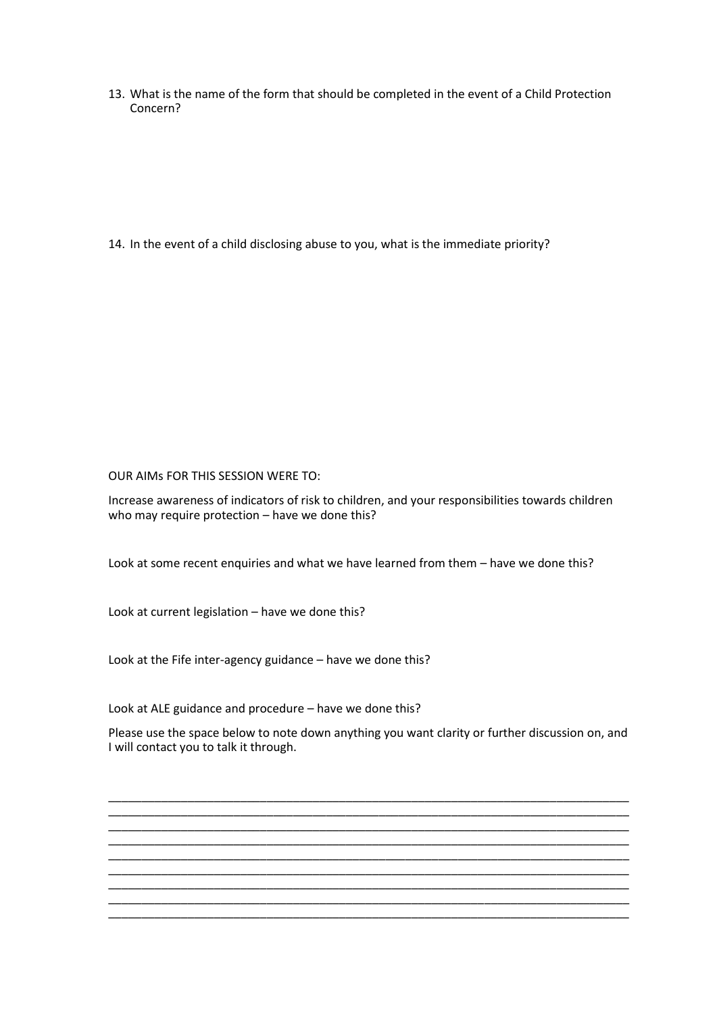13. What is the name of the form that should be completed in the event of a Child Protection Concern?

14. In the event of a child disclosing abuse to you, what is the immediate priority?

OUR AIMs FOR THIS SESSION WERE TO:

Increase awareness of indicators of risk to children, and your responsibilities towards children who may require protection – have we done this?

Look at some recent enquiries and what we have learned from them – have we done this?

Look at current legislation – have we done this?

Look at the Fife inter-agency guidance – have we done this?

Look at ALE guidance and procedure – have we done this?

Please use the space below to note down anything you want clarity or further discussion on, and I will contact you to talk it through.

\_\_\_\_\_\_\_\_\_\_\_\_\_\_\_\_\_\_\_\_\_\_\_\_\_\_\_\_\_\_\_\_\_\_\_\_\_\_\_\_\_\_\_\_\_\_\_\_\_\_\_\_\_\_\_\_\_\_\_\_\_\_\_\_\_\_\_\_\_\_\_\_\_\_\_\_\_\_\_ \_\_\_\_\_\_\_\_\_\_\_\_\_\_\_\_\_\_\_\_\_\_\_\_\_\_\_\_\_\_\_\_\_\_\_\_\_\_\_\_\_\_\_\_\_\_\_\_\_\_\_\_\_\_\_\_\_\_\_\_\_\_\_\_\_\_\_\_\_\_\_\_\_\_\_\_\_\_\_ \_\_\_\_\_\_\_\_\_\_\_\_\_\_\_\_\_\_\_\_\_\_\_\_\_\_\_\_\_\_\_\_\_\_\_\_\_\_\_\_\_\_\_\_\_\_\_\_\_\_\_\_\_\_\_\_\_\_\_\_\_\_\_\_\_\_\_\_\_\_\_\_\_\_\_\_\_\_\_ \_\_\_\_\_\_\_\_\_\_\_\_\_\_\_\_\_\_\_\_\_\_\_\_\_\_\_\_\_\_\_\_\_\_\_\_\_\_\_\_\_\_\_\_\_\_\_\_\_\_\_\_\_\_\_\_\_\_\_\_\_\_\_\_\_\_\_\_\_\_\_\_\_\_\_\_\_\_\_ \_\_\_\_\_\_\_\_\_\_\_\_\_\_\_\_\_\_\_\_\_\_\_\_\_\_\_\_\_\_\_\_\_\_\_\_\_\_\_\_\_\_\_\_\_\_\_\_\_\_\_\_\_\_\_\_\_\_\_\_\_\_\_\_\_\_\_\_\_\_\_\_\_\_\_\_\_\_\_

\_\_\_\_\_\_\_\_\_\_\_\_\_\_\_\_\_\_\_\_\_\_\_\_\_\_\_\_\_\_\_\_\_\_\_\_\_\_\_\_\_\_\_\_\_\_\_\_\_\_\_\_\_\_\_\_\_\_\_\_\_\_\_\_\_\_\_\_\_\_\_\_\_\_\_\_\_\_\_ \_\_\_\_\_\_\_\_\_\_\_\_\_\_\_\_\_\_\_\_\_\_\_\_\_\_\_\_\_\_\_\_\_\_\_\_\_\_\_\_\_\_\_\_\_\_\_\_\_\_\_\_\_\_\_\_\_\_\_\_\_\_\_\_\_\_\_\_\_\_\_\_\_\_\_\_\_\_\_ \_\_\_\_\_\_\_\_\_\_\_\_\_\_\_\_\_\_\_\_\_\_\_\_\_\_\_\_\_\_\_\_\_\_\_\_\_\_\_\_\_\_\_\_\_\_\_\_\_\_\_\_\_\_\_\_\_\_\_\_\_\_\_\_\_\_\_\_\_\_\_\_\_\_\_\_\_\_\_